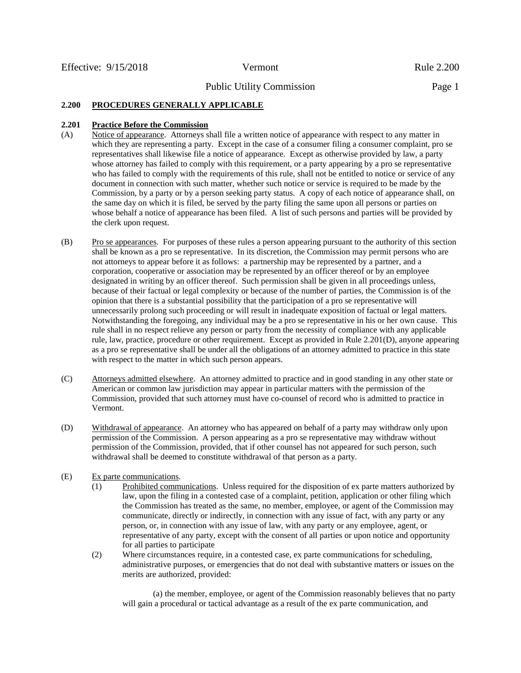# **2.200 PROCEDURES GENERALLY APPLICABLE**

## **2.201 Practice Before the Commission**

- (A) Notice of appearance. Attorneys shall file a written notice of appearance with respect to any matter in which they are representing a party. Except in the case of a consumer filing a consumer complaint, pro se representatives shall likewise file a notice of appearance. Except as otherwise provided by law, a party whose attorney has failed to comply with this requirement, or a party appearing by a pro se representative who has failed to comply with the requirements of this rule, shall not be entitled to notice or service of any document in connection with such matter, whether such notice or service is required to be made by the Commission, by a party or by a person seeking party status. A copy of each notice of appearance shall, on the same day on which it is filed, be served by the party filing the same upon all persons or parties on whose behalf a notice of appearance has been filed. A list of such persons and parties will be provided by the clerk upon request.
- (B) Pro se appearances. For purposes of these rules a person appearing pursuant to the authority of this section shall be known as a pro se representative. In its discretion, the Commission may permit persons who are not attorneys to appear before it as follows: a partnership may be represented by a partner, and a corporation, cooperative or association may be represented by an officer thereof or by an employee designated in writing by an officer thereof. Such permission shall be given in all proceedings unless, because of their factual or legal complexity or because of the number of parties, the Commission is of the opinion that there is a substantial possibility that the participation of a pro se representative will unnecessarily prolong such proceeding or will result in inadequate exposition of factual or legal matters. Notwithstanding the foregoing, any individual may be a pro se representative in his or her own cause. This rule shall in no respect relieve any person or party from the necessity of compliance with any applicable rule, law, practice, procedure or other requirement. Except as provided in Rule 2.201(D), anyone appearing as a pro se representative shall be under all the obligations of an attorney admitted to practice in this state with respect to the matter in which such person appears.
- (C) Attorneys admitted elsewhere. An attorney admitted to practice and in good standing in any other state or American or common law jurisdiction may appear in particular matters with the permission of the Commission, provided that such attorney must have co-counsel of record who is admitted to practice in Vermont.
- (D) Withdrawal of appearance. An attorney who has appeared on behalf of a party may withdraw only upon permission of the Commission. A person appearing as a pro se representative may withdraw without permission of the Commission, provided, that if other counsel has not appeared for such person, such withdrawal shall be deemed to constitute withdrawal of that person as a party.
- (E) Ex parte communications.
	- (1) Prohibited communications. Unless required for the disposition of ex parte matters authorized by law, upon the filing in a contested case of a complaint, petition, application or other filing which the Commission has treated as the same, no member, employee, or agent of the Commission may communicate, directly or indirectly, in connection with any issue of fact, with any party or any person, or, in connection with any issue of law, with any party or any employee, agent, or representative of any party, except with the consent of all parties or upon notice and opportunity for all parties to participate
	- (2) Where circumstances require, in a contested case, ex parte communications for scheduling, administrative purposes, or emergencies that do not deal with substantive matters or issues on the merits are authorized, provided:

(a) the member, employee, or agent of the Commission reasonably believes that no party will gain a procedural or tactical advantage as a result of the ex parte communication, and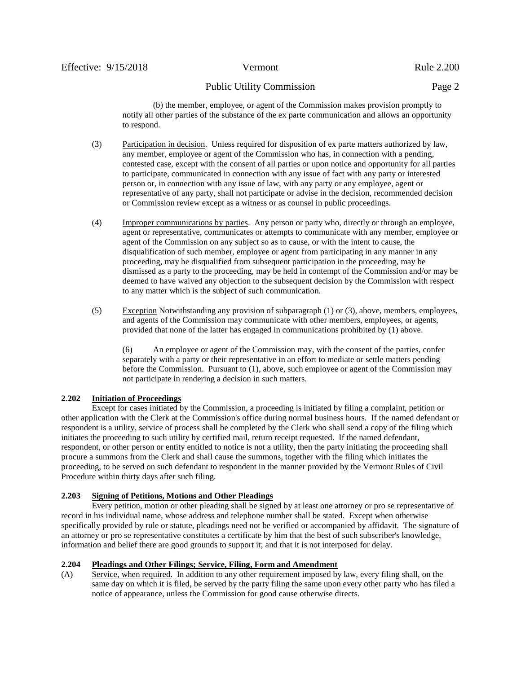(b) the member, employee, or agent of the Commission makes provision promptly to notify all other parties of the substance of the ex parte communication and allows an opportunity to respond.

- (3) Participation in decision. Unless required for disposition of ex parte matters authorized by law, any member, employee or agent of the Commission who has, in connection with a pending, contested case, except with the consent of all parties or upon notice and opportunity for all parties to participate, communicated in connection with any issue of fact with any party or interested person or, in connection with any issue of law, with any party or any employee, agent or representative of any party, shall not participate or advise in the decision, recommended decision or Commission review except as a witness or as counsel in public proceedings.
- (4) Improper communications by parties. Any person or party who, directly or through an employee, agent or representative, communicates or attempts to communicate with any member, employee or agent of the Commission on any subject so as to cause, or with the intent to cause, the disqualification of such member, employee or agent from participating in any manner in any proceeding, may be disqualified from subsequent participation in the proceeding, may be dismissed as a party to the proceeding, may be held in contempt of the Commission and/or may be deemed to have waived any objection to the subsequent decision by the Commission with respect to any matter which is the subject of such communication.
- (5) Exception Notwithstanding any provision of subparagraph (1) or (3), above, members, employees, and agents of the Commission may communicate with other members, employees, or agents, provided that none of the latter has engaged in communications prohibited by (1) above.

(6) An employee or agent of the Commission may, with the consent of the parties, confer separately with a party or their representative in an effort to mediate or settle matters pending before the Commission. Pursuant to (1), above, such employee or agent of the Commission may not participate in rendering a decision in such matters.

## **2.202 Initiation of Proceedings**

Except for cases initiated by the Commission, a proceeding is initiated by filing a complaint, petition or other application with the Clerk at the Commission's office during normal business hours. If the named defendant or respondent is a utility, service of process shall be completed by the Clerk who shall send a copy of the filing which initiates the proceeding to such utility by certified mail, return receipt requested. If the named defendant, respondent, or other person or entity entitled to notice is not a utility, then the party initiating the proceeding shall procure a summons from the Clerk and shall cause the summons, together with the filing which initiates the proceeding, to be served on such defendant to respondent in the manner provided by the Vermont Rules of Civil Procedure within thirty days after such filing.

## **2.203 Signing of Petitions, Motions and Other Pleadings**

Every petition, motion or other pleading shall be signed by at least one attorney or pro se representative of record in his individual name, whose address and telephone number shall be stated. Except when otherwise specifically provided by rule or statute, pleadings need not be verified or accompanied by affidavit. The signature of an attorney or pro se representative constitutes a certificate by him that the best of such subscriber's knowledge, information and belief there are good grounds to support it; and that it is not interposed for delay.

## **2.204 Pleadings and Other Filings; Service, Filing, Form and Amendment**

(A) Service, when required. In addition to any other requirement imposed by law, every filing shall, on the same day on which it is filed, be served by the party filing the same upon every other party who has filed a notice of appearance, unless the Commission for good cause otherwise directs.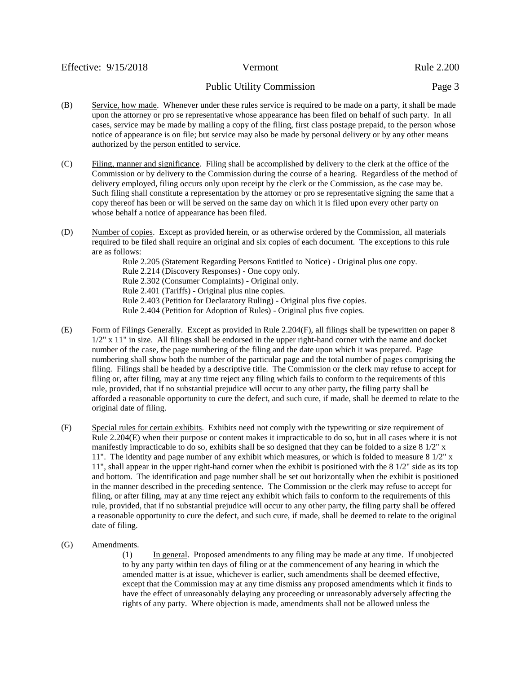- (B) Service, how made. Whenever under these rules service is required to be made on a party, it shall be made upon the attorney or pro se representative whose appearance has been filed on behalf of such party. In all cases, service may be made by mailing a copy of the filing, first class postage prepaid, to the person whose notice of appearance is on file; but service may also be made by personal delivery or by any other means authorized by the person entitled to service.
- (C) Filing, manner and significance. Filing shall be accomplished by delivery to the clerk at the office of the Commission or by delivery to the Commission during the course of a hearing. Regardless of the method of delivery employed, filing occurs only upon receipt by the clerk or the Commission, as the case may be. Such filing shall constitute a representation by the attorney or pro se representative signing the same that a copy thereof has been or will be served on the same day on which it is filed upon every other party on whose behalf a notice of appearance has been filed.
- (D) Number of copies. Except as provided herein, or as otherwise ordered by the Commission, all materials required to be filed shall require an original and six copies of each document. The exceptions to this rule are as follows:

Rule 2.205 (Statement Regarding Persons Entitled to Notice) - Original plus one copy. Rule 2.214 (Discovery Responses) - One copy only. Rule 2.302 (Consumer Complaints) - Original only. Rule 2.401 (Tariffs) - Original plus nine copies. Rule 2.403 (Petition for Declaratory Ruling) - Original plus five copies. Rule 2.404 (Petition for Adoption of Rules) - Original plus five copies.

- (E) Form of Filings Generally. Except as provided in Rule 2.204(F), all filings shall be typewritten on paper 8 1/2" x 11" in size. All filings shall be endorsed in the upper right-hand corner with the name and docket number of the case, the page numbering of the filing and the date upon which it was prepared. Page numbering shall show both the number of the particular page and the total number of pages comprising the filing. Filings shall be headed by a descriptive title. The Commission or the clerk may refuse to accept for filing or, after filing, may at any time reject any filing which fails to conform to the requirements of this rule, provided, that if no substantial prejudice will occur to any other party, the filing party shall be afforded a reasonable opportunity to cure the defect, and such cure, if made, shall be deemed to relate to the original date of filing.
- (F) Special rules for certain exhibits. Exhibits need not comply with the typewriting or size requirement of Rule 2.204(E) when their purpose or content makes it impracticable to do so, but in all cases where it is not manifestly impracticable to do so, exhibits shall be so designed that they can be folded to a size 8 1/2" x 11". The identity and page number of any exhibit which measures, or which is folded to measure 8 1/2" x 11", shall appear in the upper right-hand corner when the exhibit is positioned with the 8 1/2" side as its top and bottom. The identification and page number shall be set out horizontally when the exhibit is positioned in the manner described in the preceding sentence. The Commission or the clerk may refuse to accept for filing, or after filing, may at any time reject any exhibit which fails to conform to the requirements of this rule, provided, that if no substantial prejudice will occur to any other party, the filing party shall be offered a reasonable opportunity to cure the defect, and such cure, if made, shall be deemed to relate to the original date of filing.
- (G) Amendments.

(1) In general. Proposed amendments to any filing may be made at any time. If unobjected to by any party within ten days of filing or at the commencement of any hearing in which the amended matter is at issue, whichever is earlier, such amendments shall be deemed effective, except that the Commission may at any time dismiss any proposed amendments which it finds to have the effect of unreasonably delaying any proceeding or unreasonably adversely affecting the rights of any party. Where objection is made, amendments shall not be allowed unless the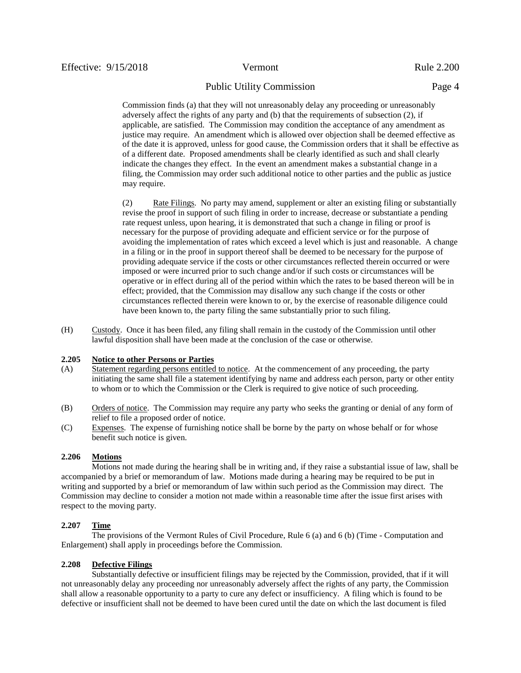Commission finds (a) that they will not unreasonably delay any proceeding or unreasonably adversely affect the rights of any party and (b) that the requirements of subsection (2), if applicable, are satisfied. The Commission may condition the acceptance of any amendment as justice may require. An amendment which is allowed over objection shall be deemed effective as of the date it is approved, unless for good cause, the Commission orders that it shall be effective as of a different date. Proposed amendments shall be clearly identified as such and shall clearly indicate the changes they effect. In the event an amendment makes a substantial change in a filing, the Commission may order such additional notice to other parties and the public as justice may require.

(2) Rate Filings. No party may amend, supplement or alter an existing filing or substantially revise the proof in support of such filing in order to increase, decrease or substantiate a pending rate request unless, upon hearing, it is demonstrated that such a change in filing or proof is necessary for the purpose of providing adequate and efficient service or for the purpose of avoiding the implementation of rates which exceed a level which is just and reasonable. A change in a filing or in the proof in support thereof shall be deemed to be necessary for the purpose of providing adequate service if the costs or other circumstances reflected therein occurred or were imposed or were incurred prior to such change and/or if such costs or circumstances will be operative or in effect during all of the period within which the rates to be based thereon will be in effect; provided, that the Commission may disallow any such change if the costs or other circumstances reflected therein were known to or, by the exercise of reasonable diligence could have been known to, the party filing the same substantially prior to such filing.

(H) Custody. Once it has been filed, any filing shall remain in the custody of the Commission until other lawful disposition shall have been made at the conclusion of the case or otherwise.

## **2.205 Notice to other Persons or Parties**

- (A) Statement regarding persons entitled to notice. At the commencement of any proceeding, the party initiating the same shall file a statement identifying by name and address each person, party or other entity to whom or to which the Commission or the Clerk is required to give notice of such proceeding.
- (B) Orders of notice. The Commission may require any party who seeks the granting or denial of any form of relief to file a proposed order of notice.
- (C) Expenses. The expense of furnishing notice shall be borne by the party on whose behalf or for whose benefit such notice is given.

#### **2.206 Motions**

Motions not made during the hearing shall be in writing and, if they raise a substantial issue of law, shall be accompanied by a brief or memorandum of law. Motions made during a hearing may be required to be put in writing and supported by a brief or memorandum of law within such period as the Commission may direct. The Commission may decline to consider a motion not made within a reasonable time after the issue first arises with respect to the moving party.

#### **2.207 Time**

The provisions of the Vermont Rules of Civil Procedure, Rule 6 (a) and 6 (b) (Time - Computation and Enlargement) shall apply in proceedings before the Commission.

#### **2.208 Defective Filings**

Substantially defective or insufficient filings may be rejected by the Commission, provided, that if it will not unreasonably delay any proceeding nor unreasonably adversely affect the rights of any party, the Commission shall allow a reasonable opportunity to a party to cure any defect or insufficiency. A filing which is found to be defective or insufficient shall not be deemed to have been cured until the date on which the last document is filed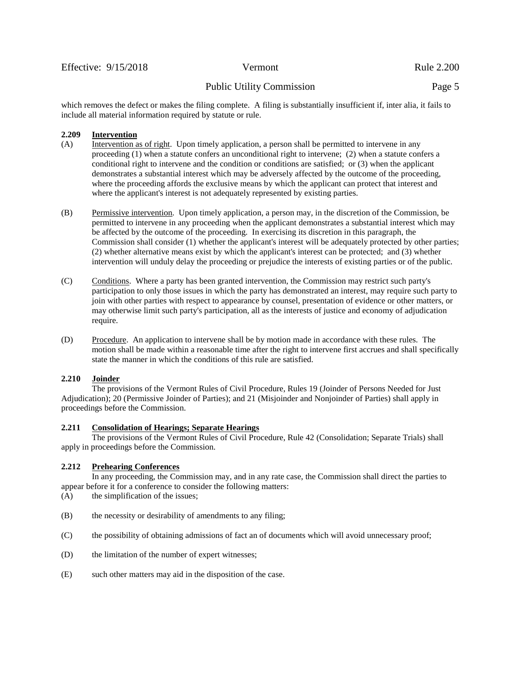which removes the defect or makes the filing complete. A filing is substantially insufficient if, inter alia, it fails to include all material information required by statute or rule.

## **2.209 Intervention**

- (A) Intervention as of right. Upon timely application, a person shall be permitted to intervene in any proceeding (1) when a statute confers an unconditional right to intervene; (2) when a statute confers a conditional right to intervene and the condition or conditions are satisfied; or (3) when the applicant demonstrates a substantial interest which may be adversely affected by the outcome of the proceeding, where the proceeding affords the exclusive means by which the applicant can protect that interest and where the applicant's interest is not adequately represented by existing parties.
- (B) Permissive intervention. Upon timely application, a person may, in the discretion of the Commission, be permitted to intervene in any proceeding when the applicant demonstrates a substantial interest which may be affected by the outcome of the proceeding. In exercising its discretion in this paragraph, the Commission shall consider (1) whether the applicant's interest will be adequately protected by other parties; (2) whether alternative means exist by which the applicant's interest can be protected; and (3) whether intervention will unduly delay the proceeding or prejudice the interests of existing parties or of the public.
- (C) Conditions. Where a party has been granted intervention, the Commission may restrict such party's participation to only those issues in which the party has demonstrated an interest, may require such party to join with other parties with respect to appearance by counsel, presentation of evidence or other matters, or may otherwise limit such party's participation, all as the interests of justice and economy of adjudication require.
- (D) Procedure. An application to intervene shall be by motion made in accordance with these rules. The motion shall be made within a reasonable time after the right to intervene first accrues and shall specifically state the manner in which the conditions of this rule are satisfied.

## **2.210 Joinder**

The provisions of the Vermont Rules of Civil Procedure, Rules 19 (Joinder of Persons Needed for Just Adjudication); 20 (Permissive Joinder of Parties); and 21 (Misjoinder and Nonjoinder of Parties) shall apply in proceedings before the Commission.

## **2.211 Consolidation of Hearings; Separate Hearings**

The provisions of the Vermont Rules of Civil Procedure, Rule 42 (Consolidation; Separate Trials) shall apply in proceedings before the Commission.

## **2.212 Prehearing Conferences**

In any proceeding, the Commission may, and in any rate case, the Commission shall direct the parties to appear before it for a conference to consider the following matters:

- (A) the simplification of the issues;
- (B) the necessity or desirability of amendments to any filing;
- (C) the possibility of obtaining admissions of fact an of documents which will avoid unnecessary proof;
- (D) the limitation of the number of expert witnesses;
- (E) such other matters may aid in the disposition of the case.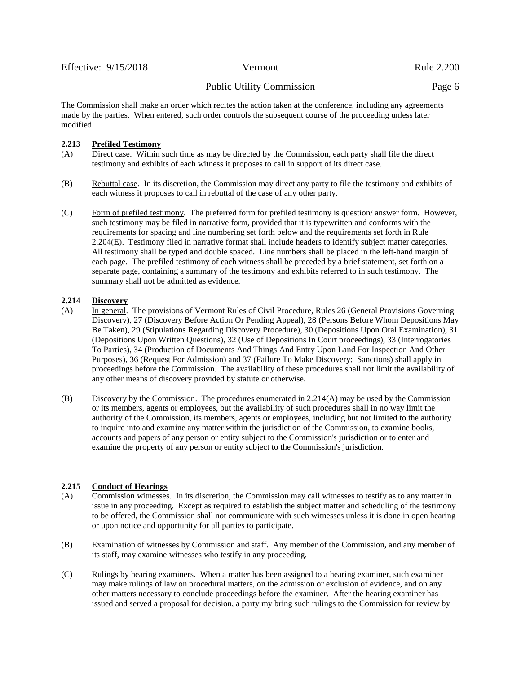The Commission shall make an order which recites the action taken at the conference, including any agreements made by the parties. When entered, such order controls the subsequent course of the proceeding unless later modified.

## **2.213 Prefiled Testimony**

- (A) Direct case. Within such time as may be directed by the Commission, each party shall file the direct testimony and exhibits of each witness it proposes to call in support of its direct case.
- (B) Rebuttal case. In its discretion, the Commission may direct any party to file the testimony and exhibits of each witness it proposes to call in rebuttal of the case of any other party.
- (C) Form of prefiled testimony. The preferred form for prefiled testimony is question/ answer form. However, such testimony may be filed in narrative form, provided that it is typewritten and conforms with the requirements for spacing and line numbering set forth below and the requirements set forth in Rule 2.204(E). Testimony filed in narrative format shall include headers to identify subject matter categories. All testimony shall be typed and double spaced. Line numbers shall be placed in the left-hand margin of each page. The prefiled testimony of each witness shall be preceded by a brief statement, set forth on a separate page, containing a summary of the testimony and exhibits referred to in such testimony. The summary shall not be admitted as evidence.

## **2.214 Discovery**

- (A) In general. The provisions of Vermont Rules of Civil Procedure, Rules 26 (General Provisions Governing Discovery), 27 (Discovery Before Action Or Pending Appeal), 28 (Persons Before Whom Depositions May Be Taken), 29 (Stipulations Regarding Discovery Procedure), 30 (Depositions Upon Oral Examination), 31 (Depositions Upon Written Questions), 32 (Use of Depositions In Court proceedings), 33 (Interrogatories To Parties), 34 (Production of Documents And Things And Entry Upon Land For Inspection And Other Purposes), 36 (Request For Admission) and 37 (Failure To Make Discovery; Sanctions) shall apply in proceedings before the Commission. The availability of these procedures shall not limit the availability of any other means of discovery provided by statute or otherwise.
- (B) Discovery by the Commission. The procedures enumerated in 2.214(A) may be used by the Commission or its members, agents or employees, but the availability of such procedures shall in no way limit the authority of the Commission, its members, agents or employees, including but not limited to the authority to inquire into and examine any matter within the jurisdiction of the Commission, to examine books, accounts and papers of any person or entity subject to the Commission's jurisdiction or to enter and examine the property of any person or entity subject to the Commission's jurisdiction.

## **2.215 Conduct of Hearings**

- (A) Commission witnesses. In its discretion, the Commission may call witnesses to testify as to any matter in issue in any proceeding. Except as required to establish the subject matter and scheduling of the testimony to be offered, the Commission shall not communicate with such witnesses unless it is done in open hearing or upon notice and opportunity for all parties to participate.
- (B) Examination of witnesses by Commission and staff. Any member of the Commission, and any member of its staff, may examine witnesses who testify in any proceeding.
- (C) Rulings by hearing examiners. When a matter has been assigned to a hearing examiner, such examiner may make rulings of law on procedural matters, on the admission or exclusion of evidence, and on any other matters necessary to conclude proceedings before the examiner. After the hearing examiner has issued and served a proposal for decision, a party my bring such rulings to the Commission for review by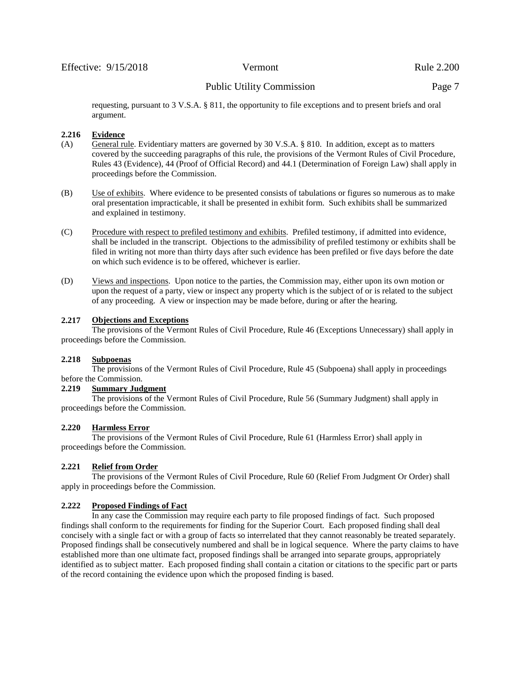requesting, pursuant to 3 V.S.A. § 811, the opportunity to file exceptions and to present briefs and oral argument.

#### **2.216 Evidence**

- (A) General rule. Evidentiary matters are governed by 30 V.S.A. § 810. In addition, except as to matters covered by the succeeding paragraphs of this rule, the provisions of the Vermont Rules of Civil Procedure, Rules 43 (Evidence), 44 (Proof of Official Record) and 44.1 (Determination of Foreign Law) shall apply in proceedings before the Commission.
- (B) Use of exhibits. Where evidence to be presented consists of tabulations or figures so numerous as to make oral presentation impracticable, it shall be presented in exhibit form. Such exhibits shall be summarized and explained in testimony.
- (C) Procedure with respect to prefiled testimony and exhibits. Prefiled testimony, if admitted into evidence, shall be included in the transcript. Objections to the admissibility of prefiled testimony or exhibits shall be filed in writing not more than thirty days after such evidence has been prefiled or five days before the date on which such evidence is to be offered, whichever is earlier.
- (D) Views and inspections. Upon notice to the parties, the Commission may, either upon its own motion or upon the request of a party, view or inspect any property which is the subject of or is related to the subject of any proceeding. A view or inspection may be made before, during or after the hearing.

## **2.217 Objections and Exceptions**

The provisions of the Vermont Rules of Civil Procedure, Rule 46 (Exceptions Unnecessary) shall apply in proceedings before the Commission.

#### **2.218 Subpoenas**

The provisions of the Vermont Rules of Civil Procedure, Rule 45 (Subpoena) shall apply in proceedings before the Commission.

#### **2.219 Summary Judgment**

The provisions of the Vermont Rules of Civil Procedure, Rule 56 (Summary Judgment) shall apply in proceedings before the Commission.

#### **2.220 Harmless Error**

The provisions of the Vermont Rules of Civil Procedure, Rule 61 (Harmless Error) shall apply in proceedings before the Commission.

## **2.221 Relief from Order**

The provisions of the Vermont Rules of Civil Procedure, Rule 60 (Relief From Judgment Or Order) shall apply in proceedings before the Commission.

#### **2.222 Proposed Findings of Fact**

In any case the Commission may require each party to file proposed findings of fact. Such proposed findings shall conform to the requirements for finding for the Superior Court. Each proposed finding shall deal concisely with a single fact or with a group of facts so interrelated that they cannot reasonably be treated separately. Proposed findings shall be consecutively numbered and shall be in logical sequence. Where the party claims to have established more than one ultimate fact, proposed findings shall be arranged into separate groups, appropriately identified as to subject matter. Each proposed finding shall contain a citation or citations to the specific part or parts of the record containing the evidence upon which the proposed finding is based.